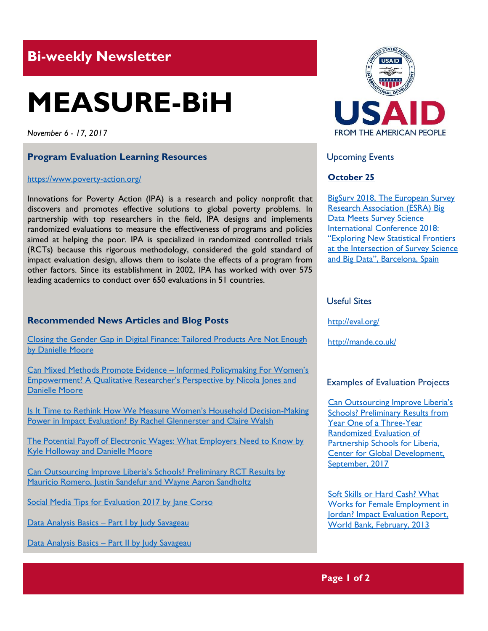# **Bi-weekly Newsletter**

# **MEASURE-BiH**

*November 6 - 17, 2017*

# **Program Evaluation Learning Resources**

#### <https://www.poverty-action.org/>

Innovations for Poverty Action (IPA) is a research and policy nonprofit that discovers and promotes effective solutions to global poverty problems. In partnership with top researchers in the field, IPA designs and implements randomized evaluations to measure the effectiveness of programs and policies aimed at helping the poor. IPA is specialized in randomized controlled trials (RCTs) because this rigorous methodology, considered the gold standard of impact evaluation design, allows them to isolate the effects of a program from other factors. Since its establishment in 2002, IPA has worked with over 575 leading academics to conduct over 650 evaluations in 51 countries.

# **Recommended News Articles and Blog Posts**

[Closing the Gender Gap in Digital Finance: Tailored Products Are Not Enough](https://www.poverty-action.org/blog/closing-gender-gap-digital-finance-tailored-products-are-not-enough)  [by Danielle Moore](https://www.poverty-action.org/blog/closing-gender-gap-digital-finance-tailored-products-are-not-enough)

[Can Mixed Methods Promote Evidence](https://www.poverty-action.org/blog/can-mixed-methods-promote-evidence-informed-policymaking-women%E2%80%99s-empowerment-qualitative-0) – Informed Policymaking For Women's [Empowerment? A Qualitative Researcher's Perspective](https://www.poverty-action.org/blog/can-mixed-methods-promote-evidence-informed-policymaking-women%E2%80%99s-empowerment-qualitative-0) by Nicola Jones and [Danielle Moore](https://www.poverty-action.org/blog/can-mixed-methods-promote-evidence-informed-policymaking-women%E2%80%99s-empowerment-qualitative-0)

**[Is It Time to Rethink How We Measure Women's Household Decision](https://www.poverty-action.org/blog/it-time-rethink-how-we-measure-women%E2%80%99s-household-decision-making-power-impact-evaluation)-Making** Power in Impact Evaluation? [By Rachel Glennerster and Claire Walsh](https://www.poverty-action.org/blog/it-time-rethink-how-we-measure-women%E2%80%99s-household-decision-making-power-impact-evaluation)

[The Potential Payoff of Electronic Wages: What Employers Need to Know by](https://www.poverty-action.org/blog/potential-payoff-electronic-wages-what-employers-need-know)  [Kyle Holloway and Danielle Moore](https://www.poverty-action.org/blog/potential-payoff-electronic-wages-what-employers-need-know)

[Can Outsourcing Improve Liberia's Schools? Preliminary RCT Results by](https://www.poverty-action.org/blog/can-outsourcing-improve-liberias-schools-preliminary-rct-results)  [Mauricio Romero, Justin Sandefur and Wayne Aaron Sandholtz](https://www.poverty-action.org/blog/can-outsourcing-improve-liberias-schools-preliminary-rct-results)

[Social Media Tips for Evaluation 2017 by Jane Corso](http://aea365.org/blog/social-media-tips-for-evaluation-2017/)

Data Analysis Basics – [Part I by Judy Savageau](http://aea365.org/blog/data-analysis-basics-part-i-by-judy-savageau/)

Data Analysis Basics – [Part II by Judy Savageau](http://aea365.org/blog/data-analysis-basics-part-ii-judy-savageau/)



Upcoming Events

# **October 25**

[BigSurv 2018, The European Survey](http://www.betterevaluation.org/en/events/bigsurv2017)  [Research Association \(ESRA\) Big](http://www.betterevaluation.org/en/events/bigsurv2017)  [Data Meets Survey Science](http://www.betterevaluation.org/en/events/bigsurv2017)  [International Conference 2018:](http://www.betterevaluation.org/en/events/bigsurv2017)  "[Exploring New Statistical Frontiers](http://www.betterevaluation.org/en/events/bigsurv2017)  [at the Intersection of Survey Science](http://www.betterevaluation.org/en/events/bigsurv2017)  and Big Data"[, Barcelona, Spain](http://www.betterevaluation.org/en/events/bigsurv2017)

# Useful Sites

<http://eval.org/>

<http://mande.co.uk/>

#### Examples of Evaluation Projects

[Can Outsourcing Improve Liberia's](https://www.poverty-action.org/sites/default/files/publications/partnership-schools-for-liberia.pdf)  [Schools? Preliminary Results from](https://www.poverty-action.org/sites/default/files/publications/partnership-schools-for-liberia.pdf)  [Year One of a Three-Year](https://www.poverty-action.org/sites/default/files/publications/partnership-schools-for-liberia.pdf)  [Randomized Evaluation of](https://www.poverty-action.org/sites/default/files/publications/partnership-schools-for-liberia.pdf)  [Partnership Schools for Liberia,](https://www.poverty-action.org/sites/default/files/publications/partnership-schools-for-liberia.pdf)  [Center for Global Development,](https://www.poverty-action.org/sites/default/files/publications/partnership-schools-for-liberia.pdf)  [September, 2017](https://www.poverty-action.org/sites/default/files/publications/partnership-schools-for-liberia.pdf)

[Soft Skills or Hard Cash? What](http://documents.worldbank.org/curated/en/856221468253838761/pdf/P125757-AAA-FinalOutput.pdf)  [Works for Female Employment in](http://documents.worldbank.org/curated/en/856221468253838761/pdf/P125757-AAA-FinalOutput.pdf)  [Jordan? Impact Evaluation Report,](http://documents.worldbank.org/curated/en/856221468253838761/pdf/P125757-AAA-FinalOutput.pdf)  [World Bank, February, 2013](http://documents.worldbank.org/curated/en/856221468253838761/pdf/P125757-AAA-FinalOutput.pdf)

**Page 1 of 2**